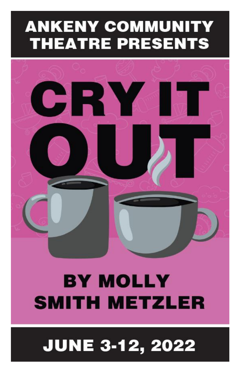# **ANKENY COMMUNITY THEATRE PRESENTS**



# **BY MOLLY SMITH METZLER**

# **JUNE 3-12, 2022**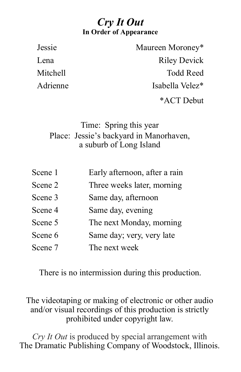### *Cry It Out* **In Order of Appearance**

Jessie Maureen Moroney\* Lena Riley Devick Mitchell Todd Reed Adrienne Isabella Velez<sup>\*</sup> \*ACT Debut

### Time: Spring this year Place: Jessie's backyard in Manorhaven, a suburb of Long Island

| Scene 1 | Early afternoon, after a rain |
|---------|-------------------------------|
| Scene 2 | Three weeks later, morning    |
| Scene 3 | Same day, afternoon           |
| Scene 4 | Same day, evening             |
| Scene 5 | The next Monday, morning      |
| Scene 6 | Same day; very, very late     |
| Scene 7 | The next week                 |

There is no intermission during this production.

#### The videotaping or making of electronic or other audio and/or visual recordings of this production is strictly prohibited under copyright law.

*Cry It Out* is produced by special arrangement with The Dramatic Publishing Company of Woodstock, Illinois.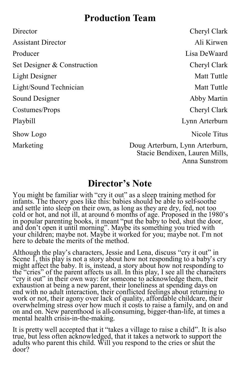### **Production Team**

Director Cheryl Clark Assistant Director Ali Kirwen Producer and Lisa DeWaard Set Designer & Construction Cheryl Clark Light Designer Matt Tuttle Light/Sound Technician Matt Tuttle Sound Designer Abby Martin Costumes/Props Cheryl Clark Playbill Lynn Arterburn Show Logo Nicole Titus

Marketing Doug Arterburn, Lynn Arterburn, Stacie Bendixen, Lauren Mills, Anna Sunstrom

## **Director's Note**

You might be familiar with "cry it out" as a sleep training method for infants. The theory goes like this: babies should be able to self-soothe and settle into sleep on their own, as long as they are dry, fed, not too cold or hot, and not ill, at around 6 months of age. Proposed in the 1980's in popular parenting books, it meant "put the baby to bed, shut the door, and don't open it until morning". Maybe its something you tried with your children; maybe not. Maybe it worked for you; maybe not. I'm not here to debate the merits of the method.

Although the play's characters, Jessie and Lena, discuss "cry it out" in Scene I, this play is not a story about how not responding to a baby's cry might affect the baby. It is, instead, a story about how not responding to the "cries" of the parent affects us all. In this play, I see all the characters "cry it out" in their own way: for someone to acknowledge them, their exhaustion at being a new parent, their loneliness at spending days on end with no adult interaction, their conflicted feelings about returning to work or not, their agony over lack of quality, affordable childcare, their overwhelming stress over how much it costs to raise a family, and on and on and on. New parenthood is all-consuming, bigger-than-life, at times a mental health crisis-in-the-making.

It is pretty well accepted that it "takes a village to raise a child". It is also true, but less often acknowledged, that it takes a network to support the adults who parent this child. Will you respond to the cries or shut the door?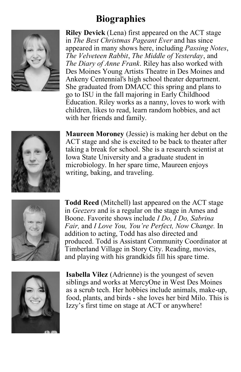## **Biographies**



**Riley Devick** (Lena) first appeared on the ACT stage in *The Best Christmas Pageant Ever* and has since appeared in many shows here, including *Passing Notes*, *The Velveteen Rabbit*, *The Middle of Yesterday*, and *The Diary of Anne Frank*. Riley has also worked with Des Moines Young Artists Theatre in Des Moines and Ankeny Centennial's high school theater department. She graduated from DMACC this spring and plans to go to ISU in the fall majoring in Early Childhood Education. Riley works as a nanny, loves to work with children, likes to read, learn random hobbies, and act with her friends and family.



**Maureen Moroney** (Jessie) is making her debut on the ACT stage and she is excited to be back to theater after taking a break for school. She is a research scientist at Iowa State University and a graduate student in microbiology. In her spare time, Maureen enjoys writing, baking, and traveling.



**Todd Reed** (Mitchell) last appeared on the ACT stage in *Geezers* and is a regular on the stage in Ames and Boone. Favorite shows include *I Do, I Do, Sabrina Fair,* and *I Love You, You're Perfect, Now Change.* In addition to acting, Todd has also directed and produced. Todd is Assistant Community Coordinator at Timberland Village in Story City. Reading, movies, and playing with his grandkids fill his spare time.



**Isabella Vilez** (Adrienne) is the youngest of seven siblings and works at MercyOne in West Des Moines as a scrub tech. Her hobbies include animals, make-up, food, plants, and birds - she loves her bird Milo. This is Izzy's first time on stage at ACT or anywhere!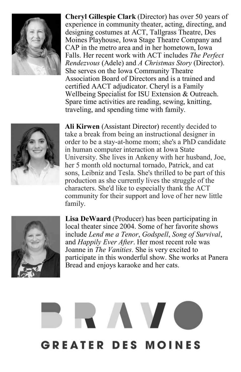

**Cheryl Gillespie Clark** (Director) has over 50 years of experience in community theater, acting, directing, and designing costumes at ACT, Tallgrass Theatre, Des Moines Playhouse, Iowa Stage Theatre Company and CAP in the metro area and in her hometown, Iowa Falls. Her recent work with ACT includes *The Perfect Rendezvous* (Adele) and *A Christmas Story* (Director). She serves on the Iowa Community Theatre Association Board of Directors and is a trained and certified AACT adjudicator. Cheryl is a Family Wellbeing Specialist for ISU Extension & Outreach. Spare time activities are reading, sewing, knitting, traveling, and spending time with family.



**Ali Kirwen** (Assistant Director) recently decided to take a break from being an instructional designer in order to be a stay-at-home mom; she's a PhD candidate in human computer interaction at Iowa State University. She lives in Ankeny with her husband, Joe, her 5 month old nocturnal tornado, Patrick, and cat sons, Leibniz and Tesla. She's thrilled to be part of this production as she currently lives the struggle of the characters. She'd like to especially thank the ACT community for their support and love of her new little family.



**Lisa DeWaard** (Producer) has been participating in local theater since 2004. Some of her favorite shows include *Lend me a Tenor*, *Godspell*, *Song of Survival*, and *Happily Ever After*. Her most recent role was Joanne in *The Vanities*. She is very excited to participate in this wonderful show. She works at Panera Bread and enjoys karaoke and her cats.

# RAVC **GREATER DES MOINES**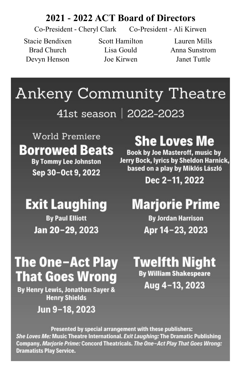### **2021 - 2022 ACT Board of Directors**

Co-President - Cheryl Clark Co-President - Ali Kirwen

Devyn Henson Joe Kirwen Janet Tuttle

Stacie Bendixen Scott Hamilton Lauren Mills

Brad Church Lisa Gould Anna Sunstrom

# **Ankeny Community Theatre** 41st season | 2022-2023

World Premiere **Borrowed Beats By Tommy Lee Johnston** 

Sep 30-Oct 9, 2022

**Exit Laughing** 

**By Paul Elliott** 

Jan 20-29, 2023

# **She Loves Me**

**Book by Joe Masteroff, music by** Jerry Bock, lyrics by Sheldon Harnick, based on a play by Miklós László

Dec 2-11, 2022

# **Marjorie Prime**

**By Jordan Harrison** Apr 14-23, 2023

# **The One-Act Play That Goes Wrong**

By Henry Lewis, Jonathan Sayer & **Henry Shields** 

## Jun 9-18, 2023

Twelfth Night **By William Shakespeare** Aug 4-13, 2023

Presented by special arrangement with these publishers: She Loves Me: Music Theatre International. Exit Laughing: The Dramatic Publishing Company. Marjorie Prime: Concord Theatricals. The One-Act Play That Goes Wrong: **Dramatists Play Service.**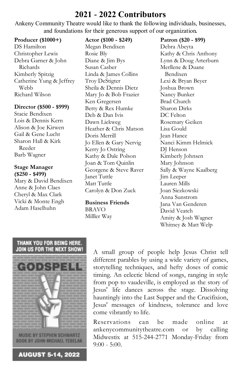#### **2021 - 2022 Contributors**

Ankeny Community Theatre would like to thank the following individuals, businesses, and foundations for their generous support of our organization.

#### **Producer (\$1000+)**

DS Hamilton Christopher Lewis Debra Garner & John Richards Kimberly Spitzig Catherine Yung & Jeffrey Webb Richard Wilson

#### **Director (\$500 - \$999)**

Stacie Bendixen Lois & Dennis Kern Alison & Joe Kirwen Gail & Gene Lucht Sharon Hall & Kirk Reeder Barb Wagner

#### **Stage Manager (\$250 - \$499)**

Mary & David Bendixen Anne & John Claes Cheryl & Max Clark Vicki & Monte Engh Adam Haselhuhn

#### **Actor (\$100 - \$249)**

Megan Bendixen Rosie Bly Diane & Jim Bys Susan Casber Linda & James Collins Troy DeStigter Sheila & Dennis Dietz Mary Jo & Bob Frazier Ken Gregersen Betty & Rex Humke Deb & Dan Ivis Dawn Liekweg Heather & Chris Matson Doris Merrill Jo Ellen & Gary Nervig Kerry Jo Ostring Kathy & Dale Polson Joan & Tom Quinlin Georgene & Steve Raver Janet Tuttle Matt Tuttle Carolyn & Don Zuck

**Business Friends** BRAVO Milller Way

**Patron (\$20 - \$99)** Debra Abeyta Kathy & Chris Anthony Lynn & Doug Arterburn Merllene & Duane Bendixen Lexi & Bryan Beyer Joshua Brown Nancy Bunker Brad Church Sharon Dirks DC Felton Rosemary Geiken Lisa Gould Jean Hance Nanci Kimm Helmick DJ Henson Kimberly Johnsen Mary Johnson Sally & Wayne Kaalberg Jim Leeper Lauren Mills Joan Siezkowski Anna Sunstrom Jana Van Genderen David Veatch Amity & Josh Wagner Whitney & Matt Welp

#### THANK YOU FOR BEING HERE. JOIN US FOR THE NEXT SHOW!



**MUSIC BY STEPHEN SCHWARTZ BOOK BY JOHN-MICHAEL TEBELAK** 

**AUGUST 5-14, 2022** 

A small group of people help Jesus Christ tell different parables by using a wide variety of games, storytelling techniques, and hefty doses of comic timing. An eclectic blend of songs, ranging in style from pop to vaudeville, is employed as the story of Jesus' life dances across the stage. Dissolving hauntingly into the Last Supper and the Crucifixion, Jesus' messages of kindness, tolerance and love come vibrantly to life.

Reservations can be made online at ankenycommunitytheatre.com or by calling Midwestix at 515-244-2771 Monday-Friday from  $9:00 - 5:00$ .